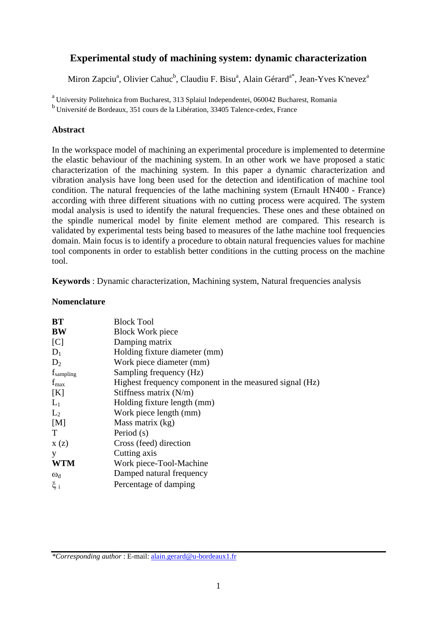# **Experimental study of machining system: dynamic characterization**

Miron Zapciu<sup>a</sup>, Olivier Cahuc<sup>b</sup>, Claudiu F. Bisu<sup>a</sup>, Alain Gérard<sup>a\*</sup>, Jean-Yves K'nevez<sup>a</sup>

<sup>a</sup> University Politehnica from Bucharest, 313 Splaiul Independentei, 060042 Bucharest, Romania b Université de Bordeaux, 351 cours de la Libération, 33405 Talence-cedex, France

### **Abstract**

In the workspace model of machining an experimental procedure is implemented to determine the elastic behaviour of the machining system. In an other work we have proposed a static characterization of the machining system. In this paper a dynamic characterization and vibration analysis have long been used for the detection and identification of machine tool condition. The natural frequencies of the lathe machining system (Ernault HN400 - France) according with three different situations with no cutting process were acquired. The system modal analysis is used to identify the natural frequencies. These ones and these obtained on the spindle numerical model by finite element method are compared. This research is validated by experimental tests being based to measures of the lathe machine tool frequencies domain. Main focus is to identify a procedure to obtain natural frequencies values for machine tool components in order to establish better conditions in the cutting process on the machine tool.

**Keywords** : Dynamic characterization, Machining system, Natural frequencies analysis

### **Nomenclature**

| BT               | <b>Block Tool</b>                                       |  |  |  |
|------------------|---------------------------------------------------------|--|--|--|
| <b>BW</b>        | <b>Block Work piece</b>                                 |  |  |  |
| [C]              | Damping matrix                                          |  |  |  |
| $D_1$            | Holding fixture diameter (mm)                           |  |  |  |
| $D_2$            | Work piece diameter (mm)                                |  |  |  |
| $f_{sampling}$   | Sampling frequency (Hz)                                 |  |  |  |
| $f_{\text{max}}$ | Highest frequency component in the measured signal (Hz) |  |  |  |
| [K]              | Stiffness matrix $(N/m)$                                |  |  |  |
| $L_1$            | Holding fixture length (mm)                             |  |  |  |
| $L_2$            | Work piece length (mm)                                  |  |  |  |
| [M]              | Mass matrix (kg)                                        |  |  |  |
| T                | Period (s)                                              |  |  |  |
| X(z)             | Cross (feed) direction                                  |  |  |  |
| у                | Cutting axis                                            |  |  |  |
| <b>WTM</b>       | Work piece-Tool-Machine                                 |  |  |  |
| $\omega_d$       | Damped natural frequency                                |  |  |  |
| $\xi_i$          | Percentage of damping                                   |  |  |  |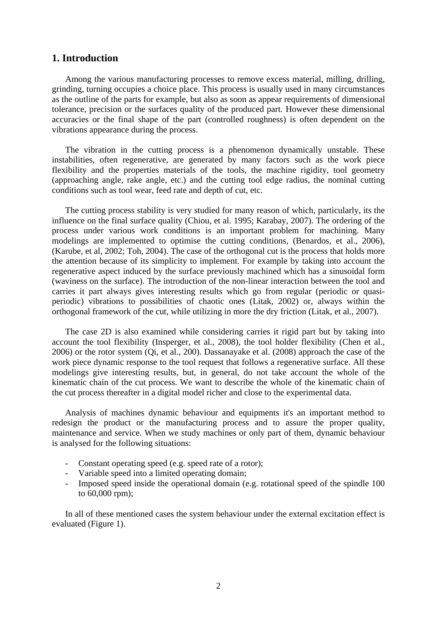#### **1. Introduction**

Among the various manufacturing processes to remove excess material, milling, drilling, grinding, turning occupies a choice place. This process is usually used in many circumstances as the outline of the parts for example, but also as soon as appear requirements of dimensional tolerance, precision or the surfaces quality of the produced part. However these dimensional accuracies or the final shape of the part (controlled roughness) is often dependent on the vibrations appearance during the process.

The vibration in the cutting process is a phenomenon dynamically unstable. These instabilities, often regenerative, are generated by many factors such as the work piece flexibility and the properties materials of the tools, the machine rigidity, tool geometry (approaching angle, rake angle, etc.) and the cutting tool edge radius, the nominal cutting conditions such as tool wear, feed rate and depth of cut, etc.

The cutting process stability is very studied for many reason of which, particularly, its the influence on the final surface quality (Chiou, et al. 1995; Karabay, 2007). The ordering of the process under various work conditions is an important problem for machining. Many modelings are implemented to optimise the cutting conditions, (Benardos, et al., 2006), (Karube, et al, 2002; Toh, 2004). The case of the orthogonal cut is the process that holds more the attention because of its simplicity to implement. For example by taking into account the regenerative aspect induced by the surface previously machined which has a sinusoidal form (waviness on the surface). The introduction of the non-linear interaction between the tool and carries it part always gives interesting results which go from regular (periodic or quasiperiodic) vibrations to possibilities of chaotic ones (Litak, 2002) or, always within the orthogonal framework of the cut, while utilizing in more the dry friction (Litak, et al., 2007).

The case 2D is also examined while considering carries it rigid part but by taking into account the tool flexibility (Insperger, et al., 2008), the tool holder flexibility (Chen et al., 2006) or the rotor system (Qi, et al., 200). Dassanayake et al. (2008) approach the case of the work piece dynamic response to the tool request that follows a regenerative surface. All these modelings give interesting results, but, in general, do not take account the whole of the kinematic chain of the cut process. We want to describe the whole of the kinematic chain of the cut process thereafter in a digital model richer and close to the experimental data.

Analysis of machines dynamic behaviour and equipments it's an important method to redesign the product or the manufacturing process and to assure the proper quality, maintenance and service. When we study machines or only part of them, dynamic behaviour is analysed for the following situations:

- Constant operating speed (e.g. speed rate of a rotor);
- Variable speed into a limited operating domain;
- Imposed speed inside the operational domain (e.g. rotational speed of the spindle 100 to 60,000 rpm);

In all of these mentioned cases the system behaviour under the external excitation effect is evaluated (Figure 1).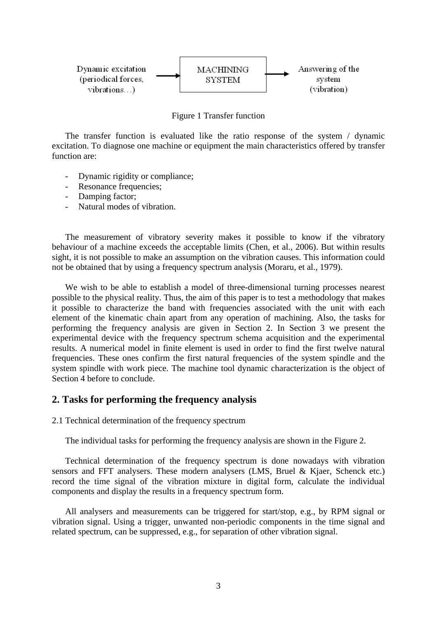

Figure 1 Transfer function

The transfer function is evaluated like the ratio response of the system / dynamic excitation. To diagnose one machine or equipment the main characteristics offered by transfer function are:

- Dynamic rigidity or compliance;
- Resonance frequencies;
- Damping factor;
- Natural modes of vibration.

The measurement of vibratory severity makes it possible to know if the vibratory behaviour of a machine exceeds the acceptable limits (Chen, et al., 2006). But within results sight, it is not possible to make an assumption on the vibration causes. This information could not be obtained that by using a frequency spectrum analysis (Moraru, et al., 1979).

We wish to be able to establish a model of three-dimensional turning processes nearest possible to the physical reality. Thus, the aim of this paper is to test a methodology that makes it possible to characterize the band with frequencies associated with the unit with each element of the kinematic chain apart from any operation of machining. Also, the tasks for performing the frequency analysis are given in Section 2. In Section 3 we present the experimental device with the frequency spectrum schema acquisition and the experimental results. A numerical model in finite element is used in order to find the first twelve natural frequencies. These ones confirm the first natural frequencies of the system spindle and the system spindle with work piece. The machine tool dynamic characterization is the object of Section 4 before to conclude.

#### **2. Tasks for performing the frequency analysis**

2.1 Technical determination of the frequency spectrum

The individual tasks for performing the frequency analysis are shown in the Figure 2.

Technical determination of the frequency spectrum is done nowadays with vibration sensors and FFT analysers. These modern analysers (LMS, Bruel & Kjaer, Schenck etc.) record the time signal of the vibration mixture in digital form, calculate the individual components and display the results in a frequency spectrum form.

All analysers and measurements can be triggered for start/stop, e.g., by RPM signal or vibration signal. Using a trigger, unwanted non-periodic components in the time signal and related spectrum, can be suppressed, e.g., for separation of other vibration signal.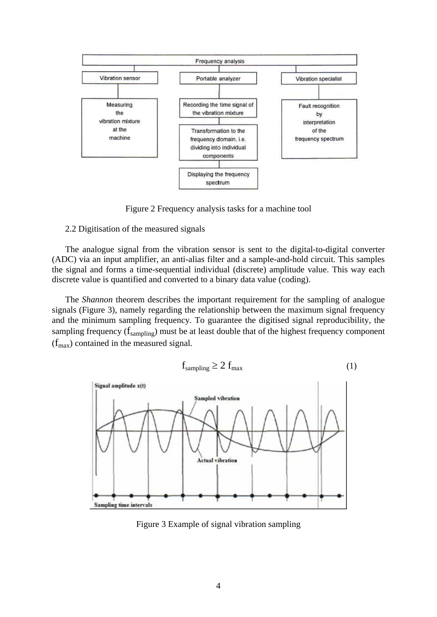

Figure 2 Frequency analysis tasks for a machine tool

#### 2.2 Digitisation of the measured signals

The analogue signal from the vibration sensor is sent to the digital-to-digital converter (ADC) via an input amplifier, an anti-alias filter and a sample-and-hold circuit. This samples the signal and forms a time-sequential individual (discrete) amplitude value. This way each discrete value is quantified and converted to a binary data value (coding).

The *Shannon* theorem describes the important requirement for the sampling of analogue signals (Figure 3), namely regarding the relationship between the maximum signal frequency and the minimum sampling frequency. To guarantee the digitised signal reproducibility, the sampling frequency  $(f_{\text{sampling}})$  must be at least double that of the highest frequency component  $(f<sub>max</sub>)$  contained in the measured signal.

$$
f_{sampling} \ge 2 f_{max} \tag{1}
$$



Figure 3 Example of signal vibration sampling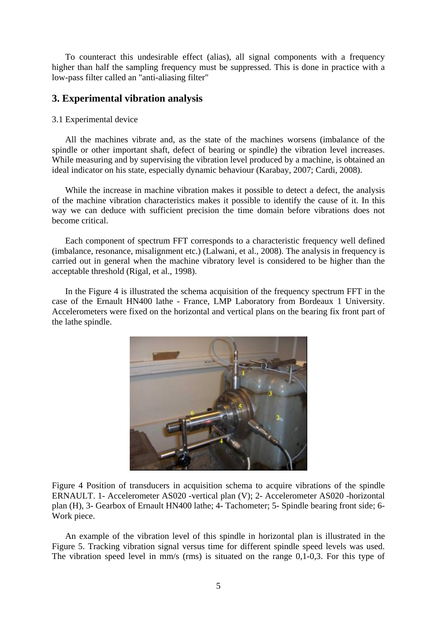To counteract this undesirable effect (alias), all signal components with a frequency higher than half the sampling frequency must be suppressed. This is done in practice with a low-pass filter called an "anti-aliasing filter"

## **3. Experimental vibration analysis**

#### 3.1 Experimental device

All the machines vibrate and, as the state of the machines worsens (imbalance of the spindle or other important shaft, defect of bearing or spindle) the vibration level increases. While measuring and by supervising the vibration level produced by a machine, is obtained an ideal indicator on his state, especially dynamic behaviour (Karabay, 2007; Cardi, 2008).

While the increase in machine vibration makes it possible to detect a defect, the analysis of the machine vibration characteristics makes it possible to identify the cause of it. In this way we can deduce with sufficient precision the time domain before vibrations does not become critical.

Each component of spectrum FFT corresponds to a characteristic frequency well defined (imbalance, resonance, misalignment etc.) (Lalwani, et al., 2008). The analysis in frequency is carried out in general when the machine vibratory level is considered to be higher than the acceptable threshold (Rigal, et al., 1998).

In the Figure 4 is illustrated the schema acquisition of the frequency spectrum FFT in the case of the Ernault HN400 lathe - France, LMP Laboratory from Bordeaux 1 University. Accelerometers were fixed on the horizontal and vertical plans on the bearing fix front part of the lathe spindle.



Figure 4 Position of transducers in acquisition schema to acquire vibrations of the spindle ERNAULT. 1- Accelerometer AS020 -vertical plan (V); 2- Accelerometer AS020 -horizontal plan (H), 3- Gearbox of Ernault HN400 lathe; 4- Tachometer; 5- Spindle bearing front side; 6- Work piece.

An example of the vibration level of this spindle in horizontal plan is illustrated in the Figure 5. Tracking vibration signal versus time for different spindle speed levels was used. The vibration speed level in mm/s (rms) is situated on the range 0,1-0,3. For this type of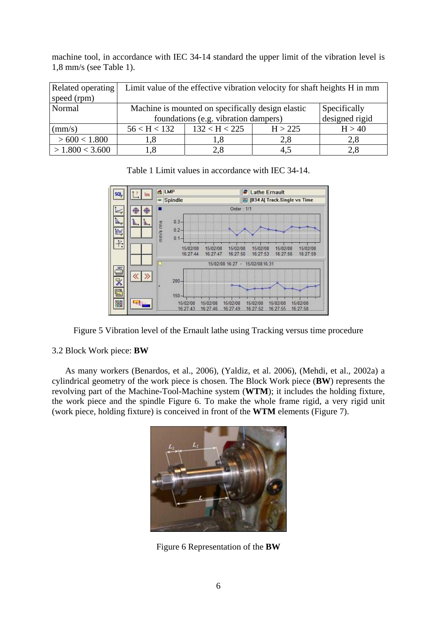machine tool, in accordance with IEC 34-14 standard the upper limit of the vibration level is 1,8 mm/s (see Table 1).

| Related operating | Limit value of the effective vibration velocity for shaft heights H in mm |                |         |        |  |
|-------------------|---------------------------------------------------------------------------|----------------|---------|--------|--|
| speed (rpm)       |                                                                           |                |         |        |  |
| Normal            | Machine is mounted on specifically design elastic<br>Specifically         |                |         |        |  |
|                   | foundations (e.g. vibration dampers)                                      | designed rigid |         |        |  |
| $\text{mm/s}$     | 56 < H < 132                                                              | 132 < H < 225  | H > 225 | H > 40 |  |
| >600 < 1.800      | 1.8                                                                       |                | 2,8     | 2,8    |  |
| > 1.800 < 3.600   | l.8                                                                       |                | 4.5     |        |  |



Table 1 Limit values in accordance with IEC 34-14.

Figure 5 Vibration level of the Ernault lathe using Tracking versus time procedure

#### 3.2 Block Work piece: **BW**

As many workers (Benardos, et al., 2006), (Yaldiz, et al. 2006), (Mehdi, et al., 2002a) a cylindrical geometry of the work piece is chosen. The Block Work piece (**BW**) represents the revolving part of the Machine-Tool-Machine system (**WTM**); it includes the holding fixture, the work piece and the spindle Figure 6. To make the whole frame rigid, a very rigid unit (work piece, holding fixture) is conceived in front of the **WTM** elements (Figure 7).



Figure 6 Representation of the **BW**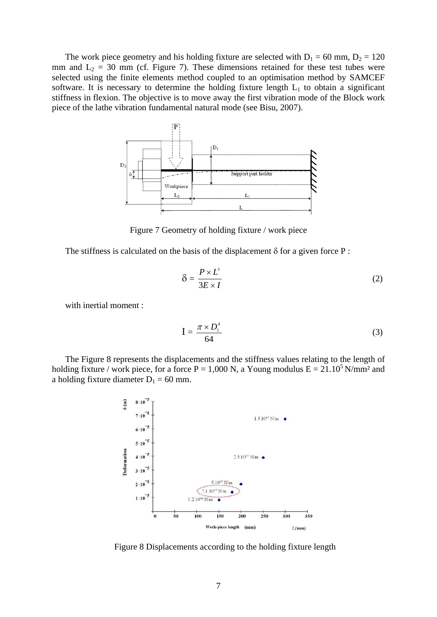The work piece geometry and his holding fixture are selected with  $D_1 = 60$  mm,  $D_2 = 120$ mm and  $L_2 = 30$  mm (cf. Figure 7). These dimensions retained for these test tubes were selected using the finite elements method coupled to an optimisation method by SAMCEF software. It is necessary to determine the holding fixture length  $L_1$  to obtain a significant stiffness in flexion. The objective is to move away the first vibration mode of the Block work piece of the lathe vibration fundamental natural mode (see Bisu, 2007).



Figure 7 Geometry of holding fixture / work piece

The stiffness is calculated on the basis of the displacement  $\delta$  for a given force P :

$$
\delta = \frac{P \times L^3}{3E \times I} \tag{2}
$$

with inertial moment :

$$
I = \frac{\pi \times D_1^4}{64} \tag{3}
$$

The Figure 8 represents the displacements and the stiffness values relating to the length of holding fixture / work piece, for a force P = 1,000 N, a Young modulus  $E = 21.10<sup>5</sup>$  N/mm<sup>2</sup> and a holding fixture diameter  $D_1 = 60$  mm.



Figure 8 Displacements according to the holding fixture length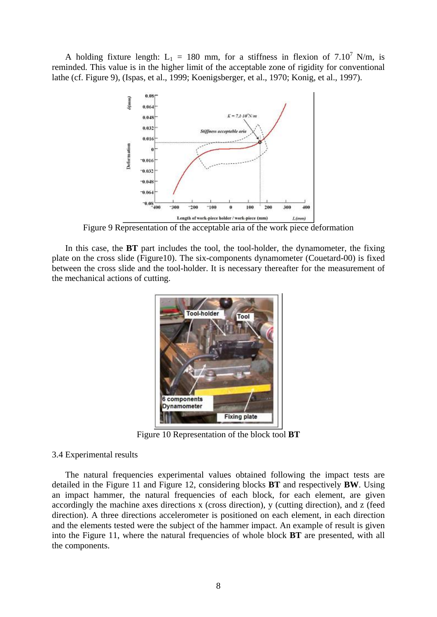A holding fixture length:  $L_1 = 180$  mm, for a stiffness in flexion of 7.10<sup>7</sup> N/m, is reminded. This value is in the higher limit of the acceptable zone of rigidity for conventional lathe (cf. Figure 9), (Ispas, et al., 1999; Koenigsberger, et al., 1970; Konig, et al., 1997).



Figure 9 Representation of the acceptable aria of the work piece deformation

In this case, the **BT** part includes the tool, the tool-holder, the dynamometer, the fixing plate on the cross slide (Figure10). The six-components dynamometer (Couetard-00) is fixed between the cross slide and the tool-holder. It is necessary thereafter for the measurement of the mechanical actions of cutting.



Figure 10 Representation of the block tool **BT**

#### 3.4 Experimental results

The natural frequencies experimental values obtained following the impact tests are detailed in the Figure 11 and Figure 12, considering blocks **BT** and respectively **BW**. Using an impact hammer, the natural frequencies of each block, for each element, are given accordingly the machine axes directions x (cross direction), y (cutting direction), and z (feed direction). A three directions accelerometer is positioned on each element, in each direction and the elements tested were the subject of the hammer impact. An example of result is given into the Figure 11, where the natural frequencies of whole block **BT** are presented, with all the components.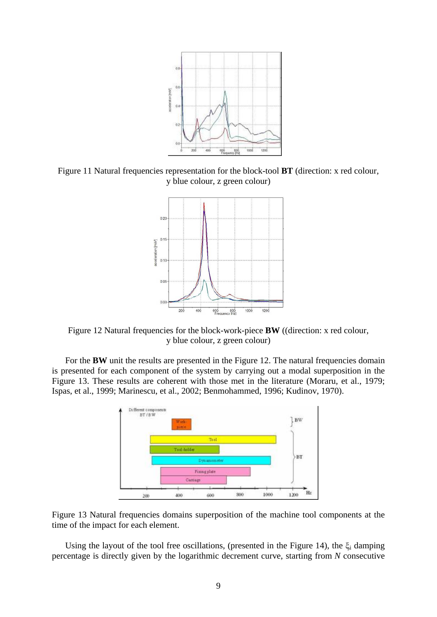

Figure 11 Natural frequencies representation for the block-tool **BT** (direction: x red colour, y blue colour, z green colour)



Figure 12 Natural frequencies for the block-work-piece **BW** ((direction: x red colour, y blue colour, z green colour)

For the **BW** unit the results are presented in the Figure 12. The natural frequencies domain is presented for each component of the system by carrying out a modal superposition in the Figure 13. These results are coherent with those met in the literature (Moraru, et al., 1979; Ispas, et al., 1999; Marinescu, et al., 2002; Benmohammed, 1996; Kudinov, 1970).





Using the layout of the tool free oscillations, (presented in the Figure 14), the  $\xi_i$  damping percentage is directly given by the logarithmic decrement curve, starting from *N* consecutive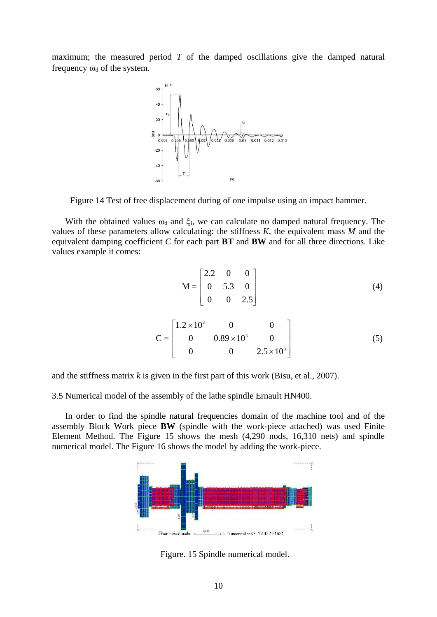maximum; the measured period *T* of the damped oscillations give the damped natural frequency  $\omega_d$  of the system.



Figure 14 Test of free displacement during of one impulse using an impact hammer.

With the obtained values  $\omega_d$  and  $\xi_i$ , we can calculate no damped natural frequency. The values of these parameters allow calculating: the stiffness *K*, the equivalent mass *M* and the equivalent damping coefficient *C* for each part **BT** and **BW** and for all three directions. Like values example it comes:

$$
M = \begin{bmatrix} 2.2 & 0 & 0 \\ 0 & 5.3 & 0 \\ 0 & 0 & 2.5 \end{bmatrix}
$$
 (4)

$$
C = \begin{bmatrix} 1.2 \times 10^3 & 0 & 0 \\ 0 & 0.89 \times 10^3 & 0 \\ 0 & 0 & 2.5 \times 10^3 \end{bmatrix}
$$
 (5)

and the stiffness matrix *k* is given in the first part of this work (Bisu, et al., 2007).

3.5 Numerical model of the assembly of the lathe spindle Ernault HN400.

In order to find the spindle natural frequencies domain of the machine tool and of the assembly Block Work piece **BW** (spindle with the work-piece attached) was used Finite Element Method. The Figure 15 shows the mesh (4,290 nods, 16,310 nets) and spindle numerical model. The Figure 16 shows the model by adding the work-piece.



Figure. 15 Spindle numerical model.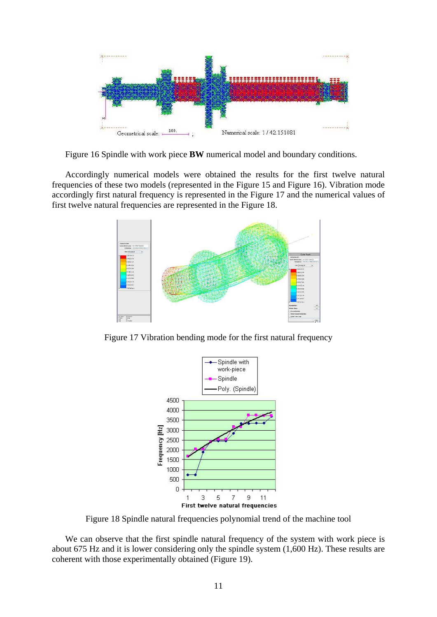

Figure 16 Spindle with work piece **BW** numerical model and boundary conditions.

Accordingly numerical models were obtained the results for the first twelve natural frequencies of these two models (represented in the Figure 15 and Figure 16). Vibration mode accordingly first natural frequency is represented in the Figure 17 and the numerical values of first twelve natural frequencies are represented in the Figure 18.



Figure 17 Vibration bending mode for the first natural frequency



Figure 18 Spindle natural frequencies polynomial trend of the machine tool

We can observe that the first spindle natural frequency of the system with work piece is about 675 Hz and it is lower considering only the spindle system (1,600 Hz). These results are coherent with those experimentally obtained (Figure 19).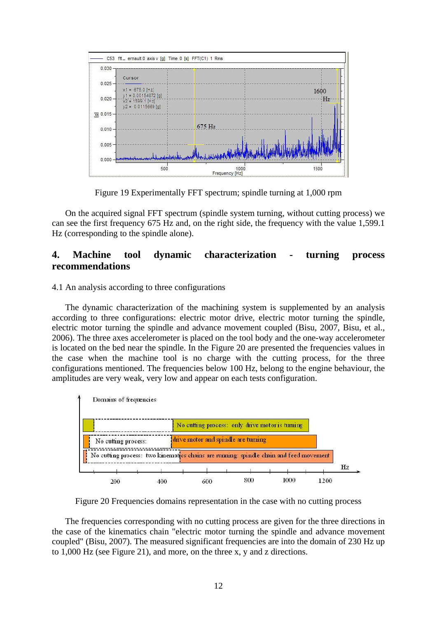

Figure 19 Experimentally FFT spectrum; spindle turning at 1,000 rpm

On the acquired signal FFT spectrum (spindle system turning, without cutting process) we can see the first frequency 675 Hz and, on the right side, the frequency with the value 1,599.1 Hz (corresponding to the spindle alone).

## **4. Machine tool dynamic characterization - turning process recommendations**

4.1 An analysis according to three configurations

The dynamic characterization of the machining system is supplemented by an analysis according to three configurations: electric motor drive, electric motor turning the spindle, electric motor turning the spindle and advance movement coupled (Bisu, 2007, Bisu, et al., 2006). The three axes accelerometer is placed on the tool body and the one-way accelerometer is located on the bed near the spindle. In the Figure 20 are presented the frequencies values in the case when the machine tool is no charge with the cutting process, for the three configurations mentioned. The frequencies below 100 Hz, belong to the engine behaviour, the amplitudes are very weak, very low and appear on each tests configuration.



Figure 20 Frequencies domains representation in the case with no cutting process

The frequencies corresponding with no cutting process are given for the three directions in the case of the kinematics chain "electric motor turning the spindle and advance movement coupled" (Bisu, 2007). The measured significant frequencies are into the domain of 230 Hz up to 1,000 Hz (see Figure 21), and more, on the three x, y and z directions.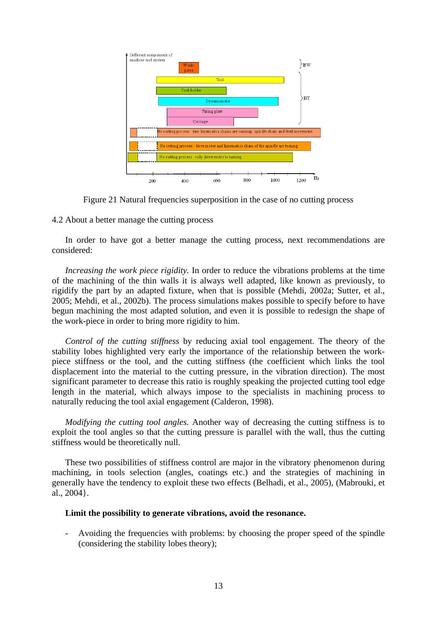

Figure 21 Natural frequencies superposition in the case of no cutting process

#### 4.2 About a better manage the cutting process

In order to have got a better manage the cutting process, next recommendations are considered:

*Increasing the work piece rigidity.* In order to reduce the vibrations problems at the time of the machining of the thin walls it is always well adapted, like known as previously, to rigidify the part by an adapted fixture, when that is possible (Mehdi, 2002a; Sutter, et al., 2005; Mehdi, et al., 2002b). The process simulations makes possible to specify before to have begun machining the most adapted solution, and even it is possible to redesign the shape of the work-piece in order to bring more rigidity to him.

*Control of the cutting stiffness* by reducing axial tool engagement. The theory of the stability lobes highlighted very early the importance of the relationship between the workpiece stiffness or the tool, and the cutting stiffness (the coefficient which links the tool displacement into the material to the cutting pressure, in the vibration direction). The most significant parameter to decrease this ratio is roughly speaking the projected cutting tool edge length in the material, which always impose to the specialists in machining process to naturally reducing the tool axial engagement (Calderon, 1998).

*Modifying the cutting tool angles.* Another way of decreasing the cutting stiffness is to exploit the tool angles so that the cutting pressure is parallel with the wall, thus the cutting stiffness would be theoretically null.

These two possibilities of stiffness control are major in the vibratory phenomenon during machining, in tools selection (angles, coatings etc.) and the strategies of machining in generally have the tendency to exploit these two effects (Belhadi, et al., 2005), (Mabrouki, et al., 2004}.

#### **Limit the possibility to generate vibrations, avoid the resonance.**

- Avoiding the frequencies with problems: by choosing the proper speed of the spindle (considering the stability lobes theory);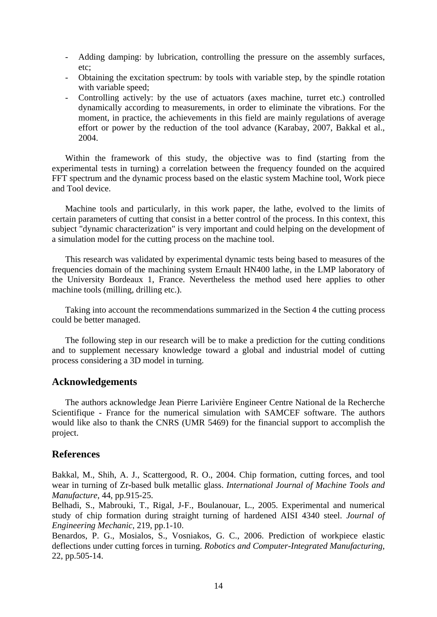- Adding damping: by lubrication, controlling the pressure on the assembly surfaces, etc;
- Obtaining the excitation spectrum: by tools with variable step, by the spindle rotation with variable speed:
- Controlling actively: by the use of actuators (axes machine, turret etc.) controlled dynamically according to measurements, in order to eliminate the vibrations. For the moment, in practice, the achievements in this field are mainly regulations of average effort or power by the reduction of the tool advance (Karabay, 2007, Bakkal et al., 2004.

Within the framework of this study, the objective was to find (starting from the experimental tests in turning) a correlation between the frequency founded on the acquired FFT spectrum and the dynamic process based on the elastic system Machine tool, Work piece and Tool device.

Machine tools and particularly, in this work paper, the lathe, evolved to the limits of certain parameters of cutting that consist in a better control of the process. In this context, this subject "dynamic characterization" is very important and could helping on the development of a simulation model for the cutting process on the machine tool.

This research was validated by experimental dynamic tests being based to measures of the frequencies domain of the machining system Ernault HN400 lathe, in the LMP laboratory of the University Bordeaux 1, France. Nevertheless the method used here applies to other machine tools (milling, drilling etc.).

Taking into account the recommendations summarized in the Section 4 the cutting process could be better managed.

The following step in our research will be to make a prediction for the cutting conditions and to supplement necessary knowledge toward a global and industrial model of cutting process considering a 3D model in turning.

### **Acknowledgements**

The authors acknowledge Jean Pierre Larivière Engineer Centre National de la Recherche Scientifique - France for the numerical simulation with SAMCEF software. The authors would like also to thank the CNRS (UMR 5469) for the financial support to accomplish the project.

### **References**

Bakkal, M., Shih, A. J., Scattergood, R. O., 2004. Chip formation, cutting forces, and tool wear in turning of Zr-based bulk metallic glass. *International Journal of Machine Tools and Manufacture*, 44, pp.915-25.

Belhadi, S., Mabrouki, T., Rigal, J-F., Boulanouar, L., 2005. Experimental and numerical study of chip formation during straight turning of hardened AISI 4340 steel. *Journal of Engineering Mechanic*, 219, pp.1-10.

Benardos, P. G., Mosialos, S., Vosniakos, G. C., 2006. Prediction of workpiece elastic deflections under cutting forces in turning. *Robotics and Computer-Integrated Manufacturing*, 22, pp.505-14.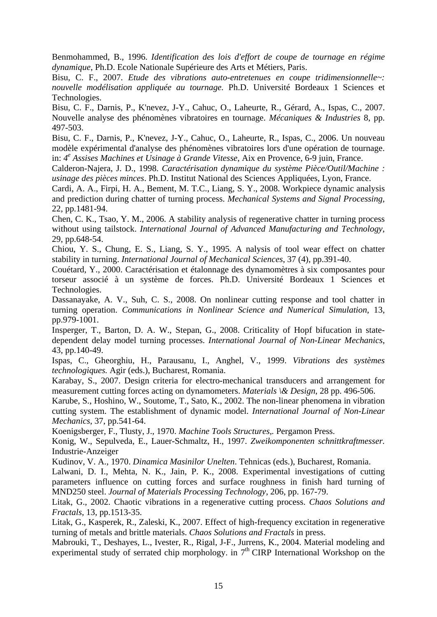Benmohammed, B., 1996. *Identification des lois d'effort de coupe de tournage en régime dynamique*, Ph.D. Ecole Nationale Supérieure des Arts et Métiers, Paris.

Bisu, C. F., 2007. *Etude des vibrations auto-entretenues en coupe tridimensionnelle~: nouvelle modélisation appliquée au tournage.* Ph.D. Université Bordeaux 1 Sciences et Technologies.

Bisu, C. F., Darnis, P., K'nevez, J-Y., Cahuc, O., Laheurte, R., Gérard, A., Ispas, C., 2007. Nouvelle analyse des phénomènes vibratoires en tournage. *Mécaniques & Industries* 8, pp. 497-503.

Bisu, C. F., Darnis, P., K'nevez, J-Y., Cahuc, O., Laheurte, R., Ispas, C., 2006. Un nouveau modèle expérimental d'analyse des phénomènes vibratoires lors d'une opération de tournage. in: *4e Assises Machines et Usinage à Grande Vitesse*, Aix en Provence, 6-9 juin, France.

Calderon-Najera, J. D., 1998. *Caractérisation dynamique du système Pièce/Outil/Machine : usinage des pièces minces*. Ph.D. Institut National des Sciences Appliquées, Lyon, France.

Cardi, A. A., Firpi, H. A., Bement, M. T.C., Liang, S. Y., 2008. Workpiece dynamic analysis and prediction during chatter of turning process. *Mechanical Systems and Signal Processing,*  22, pp.1481-94.

Chen, C. K., Tsao, Y. M., 2006. A stability analysis of regenerative chatter in turning process without using tailstock. *International Journal of Advanced Manufacturing and Technology*, 29, pp.648-54.

Chiou, Y. S., Chung, E. S., Liang, S. Y., 1995. A nalysis of tool wear effect on chatter stability in turning. *International Journal of Mechanical Sciences*, 37 (4), pp.391-40.

Couétard, Y., 2000. Caractérisation et étalonnage des dynamomètres à six composantes pour torseur associé à un système de forces. Ph.D. Université Bordeaux 1 Sciences et Technologies.

Dassanayake, A. V., Suh, C. S., 2008. On nonlinear cutting response and tool chatter in turning operation. *Communications in Nonlinear Science and Numerical Simulation*, 13, pp.979-1001.

Insperger, T., Barton, D. A. W., Stepan, G., 2008. Criticality of Hopf bifucation in statedependent delay model turning processes. *International Journal of Non-Linear Mechanics*, 43, pp.140-49.

Ispas, C., Gheorghiu, H., Parausanu, I., Anghel, V., 1999. *Vibrations des systèmes technologiques.* Agir (eds.), Bucharest, Romania.

Karabay, S., 2007. Design criteria for electro-mechanical transducers and arrangement for measurement cutting forces acting on dynamometers. *Materials \& Design*, 28 pp. 496-506.

Karube, S., Hoshino, W., Soutome, T., Sato, K., 2002. The non-linear phenomena in vibration cutting system. The establishment of dynamic model. *International Journal of Non-Linear Mechanics*, 37, pp.541-64.

Koenigsberger, F., Tlusty, J., 1970. *Machine Tools Structures,.* Pergamon Press.

Konig, W., Sepulveda, E., Lauer-Schmaltz, H., 1997. *Zweikomponenten schnittkraftmesser.* Industrie-Anzeiger

Kudinov, V. A., 1970. *Dinamica Masinilor Unelten*. Tehnicas (eds.), Bucharest, Romania.

Lalwani, D. I., Mehta, N. K., Jain, P. K., 2008. Experimental investigations of cutting parameters influence on cutting forces and surface roughness in finish hard turning of MND250 steel. *Journal of Materials Processing Technology*, 206, pp. 167-79.

Litak, G., 2002. Chaotic vibrations in a regenerative cutting process. *Chaos Solutions and Fractals*, 13, pp.1513-35.

Litak, G., Kasperek, R., Zaleski, K., 2007. Effect of high-frequency excitation in regenerative turning of metals and brittle materials. *Chaos Solutions and Fractals* in press.

Mabrouki, T., Deshayes, L., Ivester, R., Rigal, J-F., Jurrens, K., 2004. Material modeling and experimental study of serrated chip morphology. in  $7<sup>th</sup> CIRP$  International Workshop on the